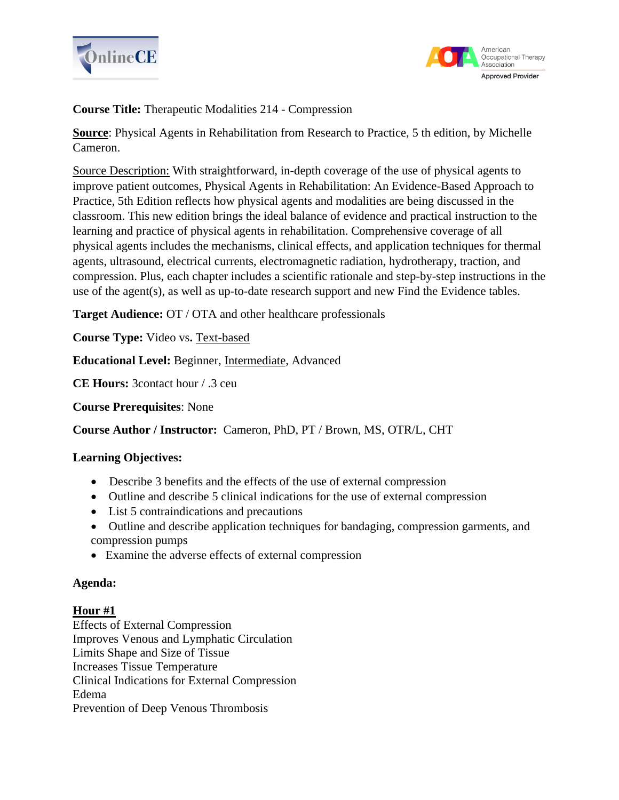



**Course Title:** Therapeutic Modalities 214 - Compression

**Source**: Physical Agents in Rehabilitation from Research to Practice, 5 th edition, by Michelle Cameron.

Source Description: With straightforward, in-depth coverage of the use of physical agents to improve patient outcomes, Physical Agents in Rehabilitation: An Evidence-Based Approach to Practice, 5th Edition reflects how physical agents and modalities are being discussed in the classroom. This new edition brings the ideal balance of evidence and practical instruction to the learning and practice of physical agents in rehabilitation. Comprehensive coverage of all physical agents includes the mechanisms, clinical effects, and application techniques for thermal agents, ultrasound, electrical currents, electromagnetic radiation, hydrotherapy, traction, and compression. Plus, each chapter includes a scientific rationale and step-by-step instructions in the use of the agent(s), as well as up-to-date research support and new Find the Evidence tables.

**Target Audience:** OT / OTA and other healthcare professionals

**Course Type:** Video vs. **Text-based** 

**Educational Level:** Beginner, Intermediate, Advanced

**CE Hours:** 3contact hour / .3 ceu

**Course Prerequisites**: None

**Course Author / Instructor:** Cameron, PhD, PT / Brown, MS, OTR/L, CHT

### **Learning Objectives:**

- Describe 3 benefits and the effects of the use of external compression
- Outline and describe 5 clinical indications for the use of external compression
- List 5 contraindications and precautions
- Outline and describe application techniques for bandaging, compression garments, and compression pumps
- Examine the adverse effects of external compression

# **Agenda:**

# **Hour #1**

Effects of External Compression Improves Venous and Lymphatic Circulation Limits Shape and Size of Tissue Increases Tissue Temperature Clinical Indications for External Compression Edema Prevention of Deep Venous Thrombosis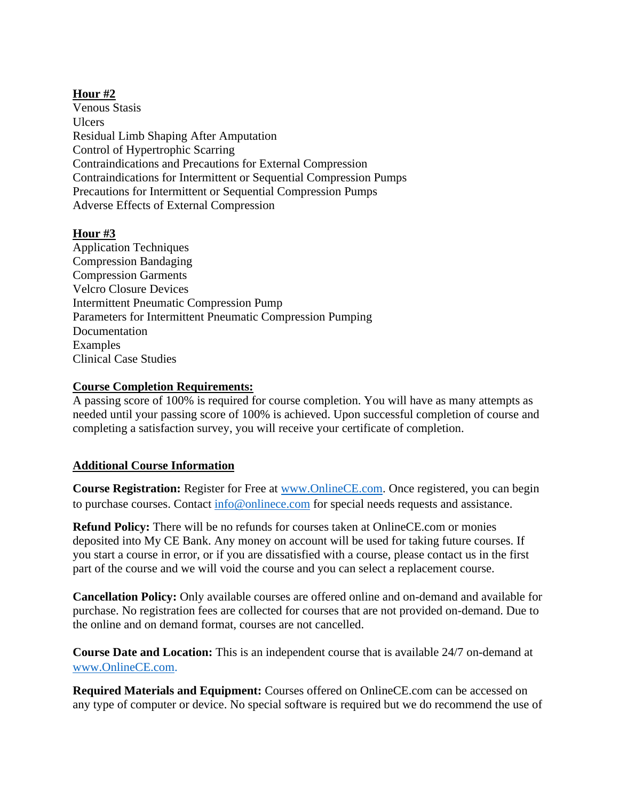## **Hour #2**

Venous Stasis Ulcers Residual Limb Shaping After Amputation Control of Hypertrophic Scarring Contraindications and Precautions for External Compression Contraindications for Intermittent or Sequential Compression Pumps Precautions for Intermittent or Sequential Compression Pumps Adverse Effects of External Compression

## **Hour #3**

Application Techniques Compression Bandaging Compression Garments Velcro Closure Devices Intermittent Pneumatic Compression Pump Parameters for Intermittent Pneumatic Compression Pumping Documentation Examples Clinical Case Studies

### **Course Completion Requirements:**

A passing score of 100% is required for course completion. You will have as many attempts as needed until your passing score of 100% is achieved. Upon successful completion of course and completing a satisfaction survey, you will receive your certificate of completion.

### **Additional Course Information**

**Course Registration:** Register for Free at [www.OnlineCE.com.](http://www.onlinece.com/) Once registered, you can begin to purchase courses. Contact [info@onlinece.com](mailto:info@onlinece.com) for special needs requests and assistance.

**Refund Policy:** There will be no refunds for courses taken at OnlineCE.com or monies deposited into My CE Bank. Any money on account will be used for taking future courses. If you start a course in error, or if you are dissatisfied with a course, please contact us in the first part of the course and we will void the course and you can select a replacement course.

**Cancellation Policy:** Only available courses are offered online and on-demand and available for purchase. No registration fees are collected for courses that are not provided on-demand. Due to the online and on demand format, courses are not cancelled.

**Course Date and Location:** This is an independent course that is available 24/7 on-demand at [www.OnlineCE.com.](http://www.onlinece.com/)

**Required Materials and Equipment:** Courses offered on OnlineCE.com can be accessed on any type of computer or device. No special software is required but we do recommend the use of